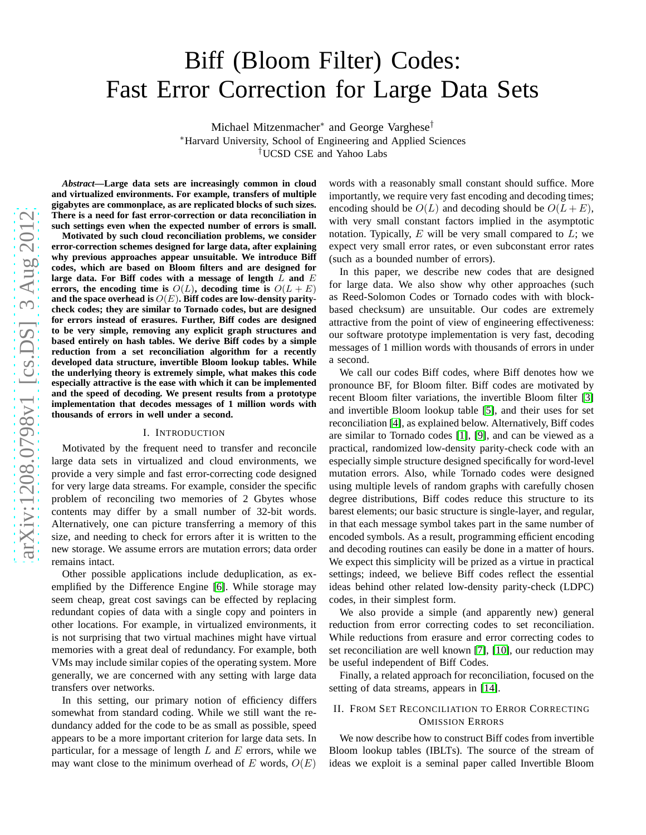# Biff (Bloom Filter) Codes: Fast Error Correction for Large Data Sets

Michael Mitzenmacher<sup>∗</sup> and George Varghese<sup>†</sup> <sup>∗</sup>Harvard University, School of Engineering and Applied Sciences †UCSD CSE and Yahoo Labs

*Abstract***—Large data sets are increasingly common in cloud and virtualized environments. For example, transfers of multiple gigabytes are commonplace, as are replicated blocks of such sizes. There is a need for fast error-correction or data reconciliation in such settings even when the expected number of errors is small.**

**Motivated by such cloud reconciliation problems, we consider error-correction schemes designed for large data, after explaining why previous approaches appear unsuitable. We introduce Biff codes, which are based on Bloom filters and are designed for** large data. For Biff codes with a message of length  $\tilde{L}$  and  $E$ errors, the encoding time is  $O(L)$ , decoding time is  $O(L + E)$ **and the space overhead is** O ( E )**. Biff codes are low-density paritycheck codes; they are similar to Tornado codes, but are designed for errors instead of erasures. Further, Biff codes are designed** to be very simple, removing any explicit graph structures and **based entirely on hash tables. We derive Biff codes by a simpl e reduction from a set reconciliation algorithm for a recentl y developed data structure, invertible Bloom lookup tables. While the underlying theory is extremely simple, what makes this code especially attractive is the ease with which it can be implemented and the speed of decoding. We present results from a prototyp e implementation that decodes messages of 1 million words wit h thousands of errors in well under a second.**

#### I. INTRODUCTION

Motivated by the frequent need to transfer and reconcile large data sets in virtualized and cloud environments, we provide a very simple and fast error-correcting code designed for very large data streams. For example, consider the specific problem of reconciling two memories of 2 Gbytes whose contents may differ by a small number of 32-bit words. Alternatively, one can picture transferring a memory of thi s size, and needing to check for errors after it is written to th e new storage. We assume errors are mutation errors; data orde r remains intact.

Other possible applications include deduplication, as exemplified by the Difference Engine [\[6\]](#page-4-0). While storage may seem cheap, great cost savings can be effected by replacing redundant copies of data with a single copy and pointers in other locations. For example, in virtualized environments, it is not surprising that two virtual machines might have virtual memories with a great deal of redundancy. For example, both VMs may include similar copies of the operating system. More generally, we are concerned with any setting with large data transfers over networks.

In this setting, our primary notion of efficiency differs somewhat from standard coding. While we still want the redundancy added for the code to be as small as possible, speed appears to be a more important criterion for large data sets. In particular, for a message of length  $L$  and  $E$  errors, while we may want close to the minimum overhead of  $E$  words,  $O(E)$ 

words with a reasonably small constant should suffice. More importantly, we require very fast encoding and decoding times; encoding should be  $O(L)$  and decoding should be  $O(L+E)$ , with very small constant factors implied in the asymptotic notation. Typically,  $E$  will be very small compared to  $L$ ; we expect very small error rates, or even subconstant error rates (such as a bounded number of errors).

In this paper, we describe new codes that are designed for large data. We also show why other approaches (such as Reed-Solomon Codes or Tornado codes with with blockbased checksum) are unsuitable. Our codes are extremely attractive from the point of view of engineering effectiveness: our software prototype implementation is very fast, decoding messages of 1 million words with thousands of errors in under a second.

We call our codes Biff codes, where Biff denotes how we pronounce BF, for Bloom filter. Biff codes are motivated by recent Bloom filter variations, the invertible Bloom filter [\[3\]](#page-4-1) and invertible Bloom lookup table [\[5\]](#page-4-2), and their uses for set reconciliation [\[4\]](#page-4-3), as explained below. Alternatively, Biff codes are similar to Tornado codes [\[1\]](#page-4-4), [\[9\]](#page-4-5), and can be viewed as a practical, randomized low-density parity-check code with an especially simple structure designed specifically for word-level mutation errors. Also, while Tornado codes were designed using multiple levels of random graphs with carefully chose n degree distributions, Biff codes reduce this structure to its barest elements; our basic structure is single-layer, and regular, in that each message symbol takes part in the same number of encoded symbols. As a result, programming efficient encodin g and decoding routines can easily be done in a matter of hours. We expect this simplicity will be prized as a virtue in practical settings; indeed, we believe Biff codes reflect the essentia l ideas behind other related low-density parity-check (LDPC ) codes, in their simplest form.

We also provide a simple (and apparently new) general reduction from error correcting codes to set reconciliation. While reductions from erasure and error correcting codes to set reconciliation are well known [\[7\]](#page-4-6), [\[10\]](#page-4-7), our reduction may be useful independent of Biff Codes.

Finally, a related approach for reconciliation, focused on the setting of data streams, appears in [\[14\]](#page-4-8).

# II. FROM SET RECONCILIATION TO ERROR CORRECTING OMISSION ERRORS

We now describe how to construct Biff codes from invertible Bloom lookup tables (IBLTs). The source of the stream of ideas we exploit is a seminal paper called Invertible Bloom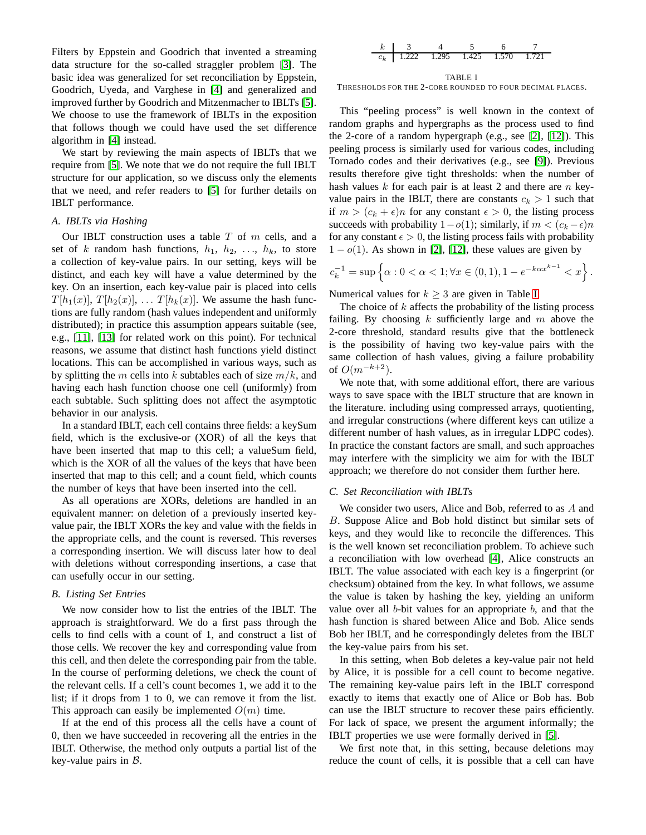Filters by Eppstein and Goodrich that invented a streaming data structure for the so-called straggler problem [\[3\]](#page-4-1). The basic idea was generalized for set reconciliation by Eppstein, Goodrich, Uyeda, and Varghese in [\[4\]](#page-4-3) and generalized and improved further by Goodrich and Mitzenmacher to IBLTs [\[5\]](#page-4-2). We choose to use the framework of IBLTs in the exposition that follows though we could have used the set difference algorithm in [\[4\]](#page-4-3) instead.

We start by reviewing the main aspects of IBLTs that we require from [\[5\]](#page-4-2). We note that we do not require the full IBLT structure for our application, so we discuss only the elements that we need, and refer readers to [\[5\]](#page-4-2) for further details on IBLT performance.

## *A. IBLTs via Hashing*

Our IBLT construction uses a table  $T$  of  $m$  cells, and a set of k random hash functions,  $h_1$ ,  $h_2$ , ...,  $h_k$ , to store a collection of key-value pairs. In our setting, keys will be distinct, and each key will have a value determined by the key. On an insertion, each key-value pair is placed into cells  $T[h_1(x)]$ ,  $T[h_2(x)]$ ,  $\ldots$   $T[h_k(x)]$ . We assume the hash functions are fully random (hash values independent and uniformly distributed); in practice this assumption appears suitable (see, e.g., [\[11\]](#page-4-9), [\[13\]](#page-4-10) for related work on this point). For technical reasons, we assume that distinct hash functions yield distinct locations. This can be accomplished in various ways, such as by splitting the m cells into k subtables each of size  $m/k$ , and having each hash function choose one cell (uniformly) from each subtable. Such splitting does not affect the asymptotic behavior in our analysis.

In a standard IBLT, each cell contains three fields: a keySum field, which is the exclusive-or (XOR) of all the keys that have been inserted that map to this cell; a valueSum field, which is the XOR of all the values of the keys that have been inserted that map to this cell; and a count field, which counts the number of keys that have been inserted into the cell.

As all operations are XORs, deletions are handled in an equivalent manner: on deletion of a previously inserted keyvalue pair, the IBLT XORs the key and value with the fields in the appropriate cells, and the count is reversed. This reverses a corresponding insertion. We will discuss later how to deal with deletions without corresponding insertions, a case that can usefully occur in our setting.

# *B. Listing Set Entries*

We now consider how to list the entries of the IBLT. The approach is straightforward. We do a first pass through the cells to find cells with a count of 1, and construct a list of those cells. We recover the key and corresponding value from this cell, and then delete the corresponding pair from the table. In the course of performing deletions, we check the count of the relevant cells. If a cell's count becomes 1, we add it to the list; if it drops from 1 to 0, we can remove it from the list. This approach can easily be implemented  $O(m)$  time.

If at the end of this process all the cells have a count of 0, then we have succeeded in recovering all the entries in the IBLT. Otherwise, the method only outputs a partial list of the key-value pairs in  $\beta$ .

|  |  | $c_k$   1.222 1.295 1.425 1.570 1.721 |  |
|--|--|---------------------------------------|--|

TABLE I

<span id="page-1-0"></span>THRESHOLDS FOR THE 2-CORE ROUNDED TO FOUR DECIMAL PLACES.

This "peeling process" is well known in the context of random graphs and hypergraphs as the process used to find the 2-core of a random hypergraph (e.g., see [\[2\]](#page-4-11), [\[12\]](#page-4-12)). This peeling process is similarly used for various codes, including Tornado codes and their derivatives (e.g., see [\[9\]](#page-4-5)). Previous results therefore give tight thresholds: when the number of hash values k for each pair is at least 2 and there are  $n$  keyvalue pairs in the IBLT, there are constants  $c_k > 1$  such that if  $m > (c_k + \epsilon)n$  for any constant  $\epsilon > 0$ , the listing process succeeds with probability  $1-o(1)$ ; similarly, if  $m < (c_k - \epsilon)n$ for any constant  $\epsilon > 0$ , the listing process fails with probability  $1 - o(1)$ . As shown in [\[2\]](#page-4-11), [\[12\]](#page-4-12), these values are given by

$$
c_k^{-1} = \sup \left\{ \alpha : 0 < \alpha < 1; \forall x \in (0, 1), 1 - e^{-k\alpha x^{k-1}} < x \right\}.
$$

Numerical values for  $k \geq 3$  are given in Table [I.](#page-1-0)

The choice of  $k$  affects the probability of the listing process failing. By choosing  $k$  sufficiently large and  $m$  above the 2-core threshold, standard results give that the bottleneck is the possibility of having two key-value pairs with the same collection of hash values, giving a failure probability of  $O(m^{-k+2})$ .

We note that, with some additional effort, there are various ways to save space with the IBLT structure that are known in the literature. including using compressed arrays, quotienting, and irregular constructions (where different keys can utilize a different number of hash values, as in irregular LDPC codes). In practice the constant factors are small, and such approaches may interfere with the simplicity we aim for with the IBLT approach; we therefore do not consider them further here.

### *C. Set Reconciliation with IBLTs*

We consider two users, Alice and Bob, referred to as A and B. Suppose Alice and Bob hold distinct but similar sets of keys, and they would like to reconcile the differences. This is the well known set reconciliation problem. To achieve such a reconciliation with low overhead [\[4\]](#page-4-3), Alice constructs an IBLT. The value associated with each key is a fingerprint (or checksum) obtained from the key. In what follows, we assume the value is taken by hashing the key, yielding an uniform value over all  $b$ -bit values for an appropriate  $b$ , and that the hash function is shared between Alice and Bob. Alice sends Bob her IBLT, and he correspondingly deletes from the IBLT the key-value pairs from his set.

In this setting, when Bob deletes a key-value pair not held by Alice, it is possible for a cell count to become negative. The remaining key-value pairs left in the IBLT correspond exactly to items that exactly one of Alice or Bob has. Bob can use the IBLT structure to recover these pairs efficiently. For lack of space, we present the argument informally; the IBLT properties we use were formally derived in [\[5\]](#page-4-2).

We first note that, in this setting, because deletions may reduce the count of cells, it is possible that a cell can have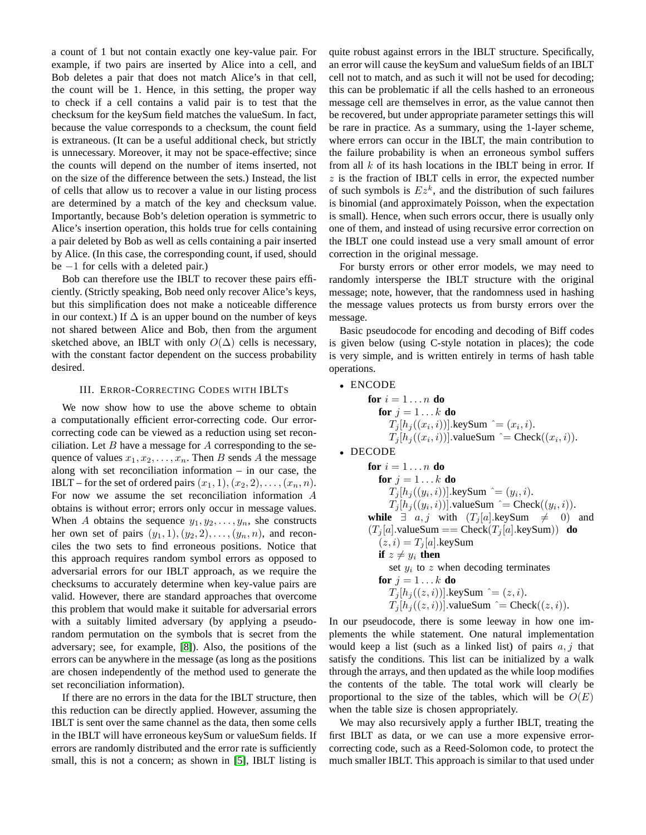a count of 1 but not contain exactly one key-value pair. For example, if two pairs are inserted by Alice into a cell, and Bob deletes a pair that does not match Alice's in that cell, the count will be 1. Hence, in this setting, the proper way to check if a cell contains a valid pair is to test that the checksum for the keySum field matches the valueSum. In fact, because the value corresponds to a checksum, the count field is extraneous. (It can be a useful additional check, but strictly is unnecessary. Moreover, it may not be space-effective; since the counts will depend on the number of items inserted, not on the size of the difference between the sets.) Instead, the list of cells that allow us to recover a value in our listing process are determined by a match of the key and checksum value. Importantly, because Bob's deletion operation is symmetric to Alice's insertion operation, this holds true for cells containing a pair deleted by Bob as well as cells containing a pair inserted by Alice. (In this case, the corresponding count, if used, should be −1 for cells with a deleted pair.)

Bob can therefore use the IBLT to recover these pairs efficiently. (Strictly speaking, Bob need only recover Alice's keys, but this simplification does not make a noticeable difference in our context.) If  $\Delta$  is an upper bound on the number of keys not shared between Alice and Bob, then from the argument sketched above, an IBLT with only  $O(\Delta)$  cells is necessary, with the constant factor dependent on the success probability desired.

# III. ERROR-CORRECTING CODES WITH IBLTS

We now show how to use the above scheme to obtain a computationally efficient error-correcting code. Our errorcorrecting code can be viewed as a reduction using set reconciliation. Let  $B$  have a message for  $A$  corresponding to the sequence of values  $x_1, x_2, \ldots, x_n$ . Then B sends A the message along with set reconciliation information – in our case, the **IBLT** – for the set of ordered pairs  $(x_1, 1), (x_2, 2), \ldots, (x_n, n)$ . For now we assume the set reconciliation information A obtains is without error; errors only occur in message values. When A obtains the sequence  $y_1, y_2, \ldots, y_n$ , she constructs her own set of pairs  $(y_1, 1), (y_2, 2), \ldots, (y_n, n)$ , and reconciles the two sets to find erroneous positions. Notice that this approach requires random symbol errors as opposed to adversarial errors for our IBLT approach, as we require the checksums to accurately determine when key-value pairs are valid. However, there are standard approaches that overcome this problem that would make it suitable for adversarial errors with a suitably limited adversary (by applying a pseudorandom permutation on the symbols that is secret from the adversary; see, for example, [\[8\]](#page-4-13)). Also, the positions of the errors can be anywhere in the message (as long as the positions are chosen independently of the method used to generate the set reconciliation information).

If there are no errors in the data for the IBLT structure, then this reduction can be directly applied. However, assuming the IBLT is sent over the same channel as the data, then some cells in the IBLT will have erroneous keySum or valueSum fields. If errors are randomly distributed and the error rate is sufficiently small, this is not a concern; as shown in [\[5\]](#page-4-2), IBLT listing is

quite robust against errors in the IBLT structure. Specifically, an error will cause the keySum and valueSum fields of an IBLT cell not to match, and as such it will not be used for decoding; this can be problematic if all the cells hashed to an erroneous message cell are themselves in error, as the value cannot then be recovered, but under appropriate parameter settings this will be rare in practice. As a summary, using the 1-layer scheme, where errors can occur in the IBLT, the main contribution to the failure probability is when an erroneous symbol suffers from all  $k$  of its hash locations in the IBLT being in error. If  $z$  is the fraction of IBLT cells in error, the expected number of such symbols is  $Ez^k$ , and the distribution of such failures is binomial (and approximately Poisson, when the expectation is small). Hence, when such errors occur, there is usually only one of them, and instead of using recursive error correction on the IBLT one could instead use a very small amount of error correction in the original message.

For bursty errors or other error models, we may need to randomly intersperse the IBLT structure with the original message; note, however, that the randomness used in hashing the message values protects us from bursty errors over the message.

Basic pseudocode for encoding and decoding of Biff codes is given below (using C-style notation in places); the code is very simple, and is written entirely in terms of hash table operations.

```
• ENCODE
```
for 
$$
i = 1...n
$$
 do  
\nfor  $j = 1...k$  do  
\n $T_j[h_j((x_i, i))]$ .keySum  $\hat{ }=(x_i, i)$ .  
\n $T_j[h_j((x_i, i))]$ .valueSum  $\hat{ }=(\text{check}((x_i, i))$ .  
\n• DECODE  
\nfor  $i = 1...n$  do  
\nfor  $j = 1...k$  do  
\n $T_j[h_j((y_i, i))]$ .keySum  $\hat{ }=(y_i, i)$ .  
\n $T_j[h_j((y_i, i))]$ .valueSum  $\hat{ }=(\text{check}((y_i, i))$ .  
\nwhile  $\exists a, j$  with  $(T_j[a]$ .keySum  $\neq 0)$  and  
\n $(T_j[a]$ .valueSum == Check $(T_j[a]$ .keySum)) do  
\n $(z, i) = T_j[a]$ .keySum  
\nif  $z \neq y_i$  then  
\nset  $y_i$  to  $z$  when decoding terminates  
\nfor  $j = 1...k$  do  
\n $T_j[h_j((z, i))]$ .keySum  $\hat{ }=(z, i)$ .  
\n $T_j[h_j((z, i))]$ .valueSum  $\hat{ }=(\text{check}((z, i))$ .

In our pseudocode, there is some leeway in how one implements the while statement. One natural implementation would keep a list (such as a linked list) of pairs  $a, j$  that satisfy the conditions. This list can be initialized by a walk through the arrays, and then updated as the while loop modifies the contents of the table. The total work will clearly be proportional to the size of the tables, which will be  $O(E)$ when the table size is chosen appropriately.

We may also recursively apply a further IBLT, treating the first IBLT as data, or we can use a more expensive errorcorrecting code, such as a Reed-Solomon code, to protect the much smaller IBLT. This approach is similar to that used under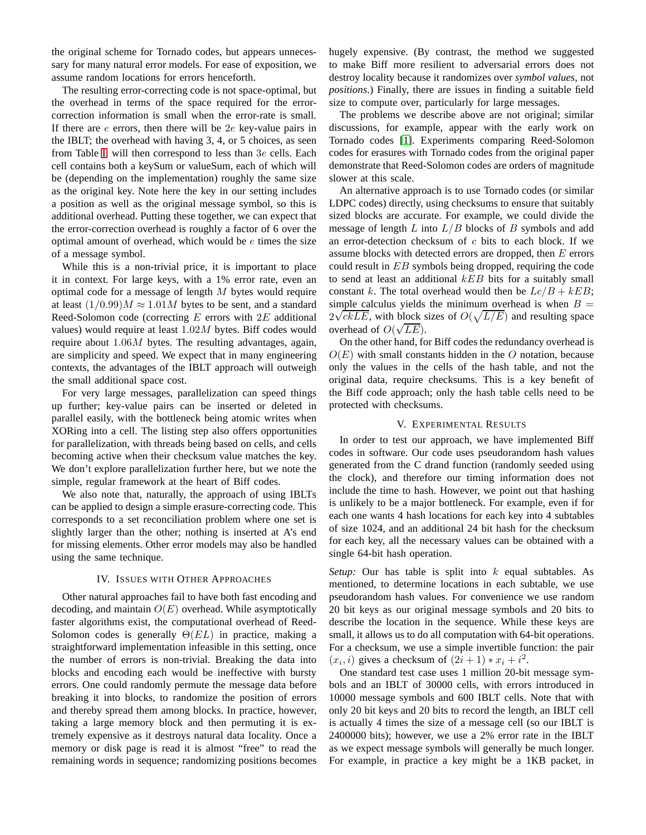the original scheme for Tornado codes, but appears unnecessary for many natural error models. For ease of exposition, we assume random locations for errors henceforth.

The resulting error-correcting code is not space-optimal, but the overhead in terms of the space required for the errorcorrection information is small when the error-rate is small. If there are  $e$  errors, then there will be  $2e$  key-value pairs in the IBLT; the overhead with having 3, 4, or 5 choices, as seen from Table [I,](#page-1-0) will then correspond to less than 3e cells. Each cell contains both a keySum or valueSum, each of which will be (depending on the implementation) roughly the same size as the original key. Note here the key in our setting includes a position as well as the original message symbol, so this is additional overhead. Putting these together, we can expect that the error-correction overhead is roughly a factor of 6 over the optimal amount of overhead, which would be  $e$  times the size of a message symbol.

While this is a non-trivial price, it is important to place it in context. For large keys, with a 1% error rate, even an optimal code for a message of length  $M$  bytes would require at least  $(1/0.99)M \approx 1.01M$  bytes to be sent, and a standard Reed-Solomon code (correcting  $E$  errors with  $2E$  additional values) would require at least 1.02M bytes. Biff codes would require about  $1.06M$  bytes. The resulting advantages, again, are simplicity and speed. We expect that in many engineering contexts, the advantages of the IBLT approach will outweigh the small additional space cost.

For very large messages, parallelization can speed things up further; key-value pairs can be inserted or deleted in parallel easily, with the bottleneck being atomic writes when XORing into a cell. The listing step also offers opportunities for parallelization, with threads being based on cells, and cells becoming active when their checksum value matches the key. We don't explore parallelization further here, but we note the simple, regular framework at the heart of Biff codes.

We also note that, naturally, the approach of using IBLTs can be applied to design a simple erasure-correcting code. This corresponds to a set reconciliation problem where one set is slightly larger than the other; nothing is inserted at A's end for missing elements. Other error models may also be handled using the same technique.

# IV. ISSUES WITH OTHER APPROACHES

Other natural approaches fail to have both fast encoding and decoding, and maintain  $O(E)$  overhead. While asymptotically faster algorithms exist, the computational overhead of Reed-Solomon codes is generally  $\Theta(EL)$  in practice, making a straightforward implementation infeasible in this setting, once the number of errors is non-trivial. Breaking the data into blocks and encoding each would be ineffective with bursty errors. One could randomly permute the message data before breaking it into blocks, to randomize the position of errors and thereby spread them among blocks. In practice, however, taking a large memory block and then permuting it is extremely expensive as it destroys natural data locality. Once a memory or disk page is read it is almost "free" to read the remaining words in sequence; randomizing positions becomes hugely expensive. (By contrast, the method we suggested to make Biff more resilient to adversarial errors does not destroy locality because it randomizes over *symbol values*, not *positions*.) Finally, there are issues in finding a suitable field size to compute over, particularly for large messages.

The problems we describe above are not original; similar discussions, for example, appear with the early work on Tornado codes [\[1\]](#page-4-4). Experiments comparing Reed-Solomon codes for erasures with Tornado codes from the original paper demonstrate that Reed-Solomon codes are orders of magnitude slower at this scale.

An alternative approach is to use Tornado codes (or similar LDPC codes) directly, using checksums to ensure that suitably sized blocks are accurate. For example, we could divide the message of length  $L$  into  $L/B$  blocks of  $B$  symbols and add an error-detection checksum of  $c$  bits to each block. If we assume blocks with detected errors are dropped, then  $E$  errors could result in  $EB$  symbols being dropped, requiring the code to send at least an additional  $kEB$  bits for a suitably small constant k. The total overhead would then be  $Lc/B + kEB$ ; simple calculus yields the minimum overhead is when  $B =$  $2\sqrt{ckLE}$ , with block sizes of  $O(\sqrt{L/E})$  and resulting space overhead of  $O(\sqrt{LE})$ .

On the other hand, for Biff codes the redundancy overhead is  $O(E)$  with small constants hidden in the O notation, because only the values in the cells of the hash table, and not the original data, require checksums. This is a key benefit of the Biff code approach; only the hash table cells need to be protected with checksums.

### V. EXPERIMENTAL RESULTS

In order to test our approach, we have implemented Biff codes in software. Our code uses pseudorandom hash values generated from the C drand function (randomly seeded using the clock), and therefore our timing information does not include the time to hash. However, we point out that hashing is unlikely to be a major bottleneck. For example, even if for each one wants 4 hash locations for each key into 4 subtables of size 1024, and an additional 24 bit hash for the checksum for each key, all the necessary values can be obtained with a single 64-bit hash operation.

*Setup*: Our has table is split into k equal subtables. As mentioned, to determine locations in each subtable, we use pseudorandom hash values. For convenience we use random 20 bit keys as our original message symbols and 20 bits to describe the location in the sequence. While these keys are small, it allows us to do all computation with 64-bit operations. For a checksum, we use a simple invertible function: the pair  $(x_i, i)$  gives a checksum of  $(2i + 1) * x_i + i^2$ .

One standard test case uses 1 million 20-bit message symbols and an IBLT of 30000 cells, with errors introduced in 10000 message symbols and 600 IBLT cells. Note that with only 20 bit keys and 20 bits to record the length, an IBLT cell is actually 4 times the size of a message cell (so our IBLT is 2400000 bits); however, we use a 2% error rate in the IBLT as we expect message symbols will generally be much longer. For example, in practice a key might be a 1KB packet, in